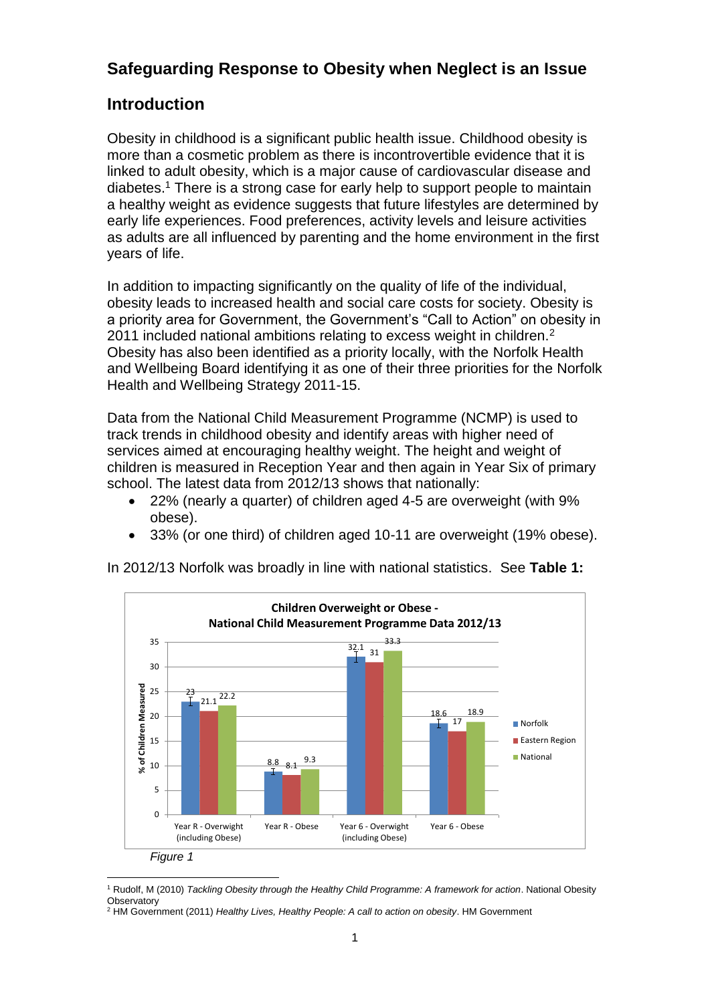# **Safeguarding Response to Obesity when Neglect is an Issue**

## **Introduction**

Obesity in childhood is a significant public health issue. Childhood obesity is more than a cosmetic problem as there is incontrovertible evidence that it is linked to adult obesity, which is a major cause of cardiovascular disease and diabetes.<sup>1</sup> There is a strong case for early help to support people to maintain a healthy weight as evidence suggests that future lifestyles are determined by early life experiences. Food preferences, activity levels and leisure activities as adults are all influenced by parenting and the home environment in the first years of life.

In addition to impacting significantly on the quality of life of the individual, obesity leads to increased health and social care costs for society. Obesity is a priority area for Government, the Government's "Call to Action" on obesity in 2011 included national ambitions relating to excess weight in children.<sup>2</sup> Obesity has also been identified as a priority locally, with the Norfolk Health and Wellbeing Board identifying it as one of their three priorities for the Norfolk Health and Wellbeing Strategy 2011-15.

Data from the National Child Measurement Programme (NCMP) is used to track trends in childhood obesity and identify areas with higher need of services aimed at encouraging healthy weight. The height and weight of children is measured in Reception Year and then again in Year Six of primary school. The latest data from 2012/13 shows that nationally:

- 22% (nearly a quarter) of children aged 4-5 are overweight (with 9% obese).
- 33% (or one third) of children aged 10-11 are overweight (19% obese).

In 2012/13 Norfolk was broadly in line with national statistics. See **Table 1:**



<sup>1</sup> Rudolf, M (2010) *Tackling Obesity through the Healthy Child Programme: A framework for action*. National Obesity **Observatory** 

<sup>2</sup> HM Government (2011) *Healthy Lives, Healthy People: A call to action on obesity*. HM Government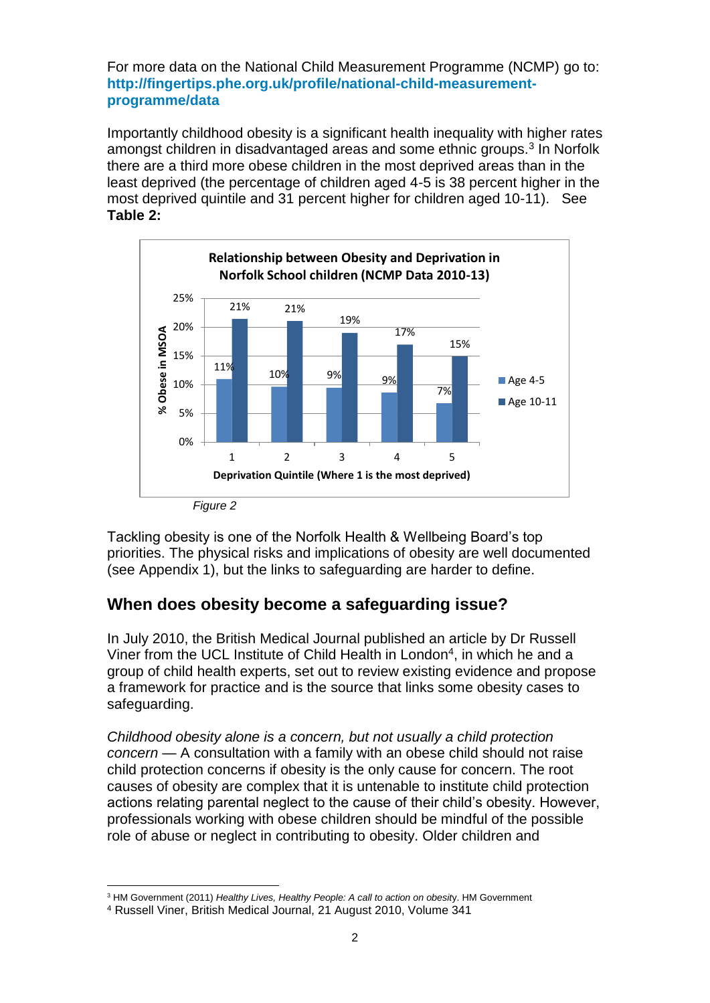For more data on the National Child Measurement Programme (NCMP) go to: **[http://fingertips.phe.org.uk/profile/national-child-measurement](http://fingertips.phe.org.uk/profile/national-child-measurement-programme/data)[programme/data](http://fingertips.phe.org.uk/profile/national-child-measurement-programme/data)**

Importantly childhood obesity is a significant health inequality with higher rates amongst children in disadvantaged areas and some ethnic groups.<sup>3</sup> In Norfolk there are a third more obese children in the most deprived areas than in the least deprived (the percentage of children aged 4-5 is 38 percent higher in the most deprived quintile and 31 percent higher for children aged 10-11). See **Table 2:**



Tackling obesity is one of the Norfolk Health & Wellbeing Board's top priorities. The physical risks and implications of obesity are well documented (see Appendix 1), but the links to safeguarding are harder to define.

### **When does obesity become a safeguarding issue?**

In July 2010, the British Medical Journal published an article by Dr Russell Viner from the UCL Institute of Child Health in London<sup>4</sup>, in which he and a group of child health experts, set out to review existing evidence and propose a framework for practice and is the source that links some obesity cases to safeguarding.

*Childhood obesity alone is a concern, but not usually a child protection concern* — A consultation with a family with an obese child should not raise child protection concerns if obesity is the only cause for concern. The root causes of obesity are complex that it is untenable to institute child protection actions relating parental neglect to the cause of their child's obesity. However, professionals working with obese children should be mindful of the possible role of abuse or neglect in contributing to obesity. Older children and

l <sup>3</sup> HM Government (2011) *Healthy Lives, Healthy People: A call to action on obesit*y. HM Government

<sup>4</sup> Russell Viner, British Medical Journal, 21 August 2010, Volume 341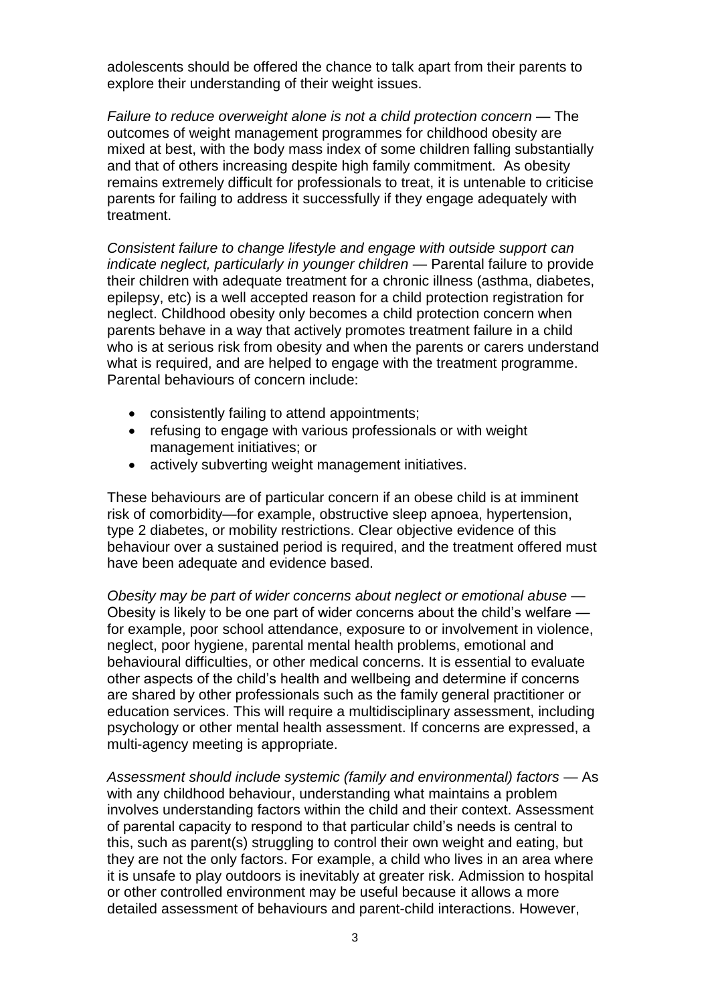adolescents should be offered the chance to talk apart from their parents to explore their understanding of their weight issues.

*Failure to reduce overweight alone is not a child protection concern* — The outcomes of weight management programmes for childhood obesity are mixed at best, with the body mass index of some children falling substantially and that of others increasing despite high family commitment. As obesity remains extremely difficult for professionals to treat, it is untenable to criticise parents for failing to address it successfully if they engage adequately with treatment.

*Consistent failure to change lifestyle and engage with outside support can indicate neglect, particularly in younger children —* Parental failure to provide their children with adequate treatment for a chronic illness (asthma, diabetes, epilepsy, etc) is a well accepted reason for a child protection registration for neglect. Childhood obesity only becomes a child protection concern when parents behave in a way that actively promotes treatment failure in a child who is at serious risk from obesity and when the parents or carers understand what is required, and are helped to engage with the treatment programme. Parental behaviours of concern include:

- consistently failing to attend appointments;
- refusing to engage with various professionals or with weight management initiatives; or
- actively subverting weight management initiatives.

These behaviours are of particular concern if an obese child is at imminent risk of comorbidity—for example, obstructive sleep apnoea, hypertension, type 2 diabetes, or mobility restrictions. Clear objective evidence of this behaviour over a sustained period is required, and the treatment offered must have been adequate and evidence based.

*Obesity may be part of wider concerns about neglect or emotional abuse —* Obesity is likely to be one part of wider concerns about the child's welfare for example, poor school attendance, exposure to or involvement in violence, neglect, poor hygiene, parental mental health problems, emotional and behavioural difficulties, or other medical concerns. It is essential to evaluate other aspects of the child's health and wellbeing and determine if concerns are shared by other professionals such as the family general practitioner or education services. This will require a multidisciplinary assessment, including psychology or other mental health assessment. If concerns are expressed, a multi-agency meeting is appropriate.

*Assessment should include systemic (family and environmental) factors —* As with any childhood behaviour, understanding what maintains a problem involves understanding factors within the child and their context. Assessment of parental capacity to respond to that particular child's needs is central to this, such as parent(s) struggling to control their own weight and eating, but they are not the only factors. For example, a child who lives in an area where it is unsafe to play outdoors is inevitably at greater risk. Admission to hospital or other controlled environment may be useful because it allows a more detailed assessment of behaviours and parent-child interactions. However,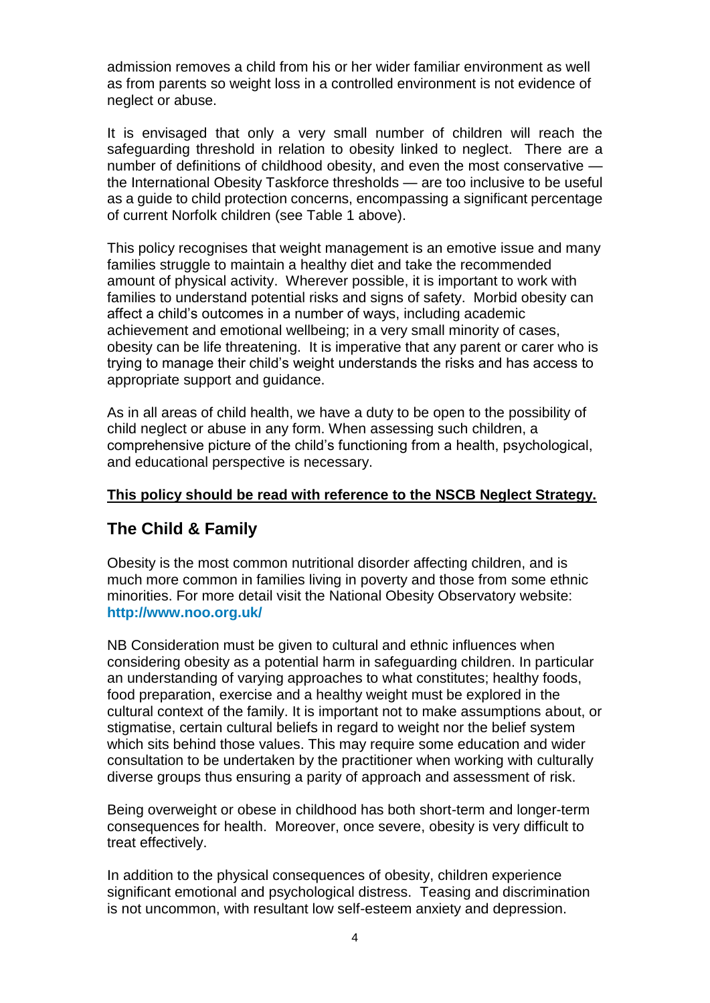admission removes a child from his or her wider familiar environment as well as from parents so weight loss in a controlled environment is not evidence of neglect or abuse.

It is envisaged that only a very small number of children will reach the safeguarding threshold in relation to obesity linked to neglect. There are a number of definitions of childhood obesity, and even the most conservative the International Obesity Taskforce thresholds — are too inclusive to be useful as a guide to child protection concerns, encompassing a significant percentage of current Norfolk children (see Table 1 above).

This policy recognises that weight management is an emotive issue and many families struggle to maintain a healthy diet and take the recommended amount of physical activity. Wherever possible, it is important to work with families to understand potential risks and signs of safety. Morbid obesity can affect a child's outcomes in a number of ways, including academic achievement and emotional wellbeing; in a very small minority of cases, obesity can be life threatening. It is imperative that any parent or carer who is trying to manage their child's weight understands the risks and has access to appropriate support and guidance.

As in all areas of child health, we have a duty to be open to the possibility of child neglect or abuse in any form. When assessing such children, a comprehensive picture of the child's functioning from a health, psychological, and educational perspective is necessary.

#### **This policy should be read with reference to the NSCB Neglect Strategy.**

## **The Child & Family**

Obesity is the most common nutritional disorder affecting children, and is much more common in families living in poverty and those from some ethnic minorities. For more detail visit the National Obesity Observatory website: **<http://www.noo.org.uk/>**

NB Consideration must be given to cultural and ethnic influences when considering obesity as a potential harm in safeguarding children. In particular an understanding of varying approaches to what constitutes; healthy foods, food preparation, exercise and a healthy weight must be explored in the cultural context of the family. It is important not to make assumptions about, or stigmatise, certain cultural beliefs in regard to weight nor the belief system which sits behind those values. This may require some education and wider consultation to be undertaken by the practitioner when working with culturally diverse groups thus ensuring a parity of approach and assessment of risk.

Being overweight or obese in childhood has both short-term and longer-term consequences for health. Moreover, once severe, obesity is very difficult to treat effectively.

In addition to the physical consequences of obesity, children experience significant emotional and psychological distress. Teasing and discrimination is not uncommon, with resultant low self-esteem anxiety and depression.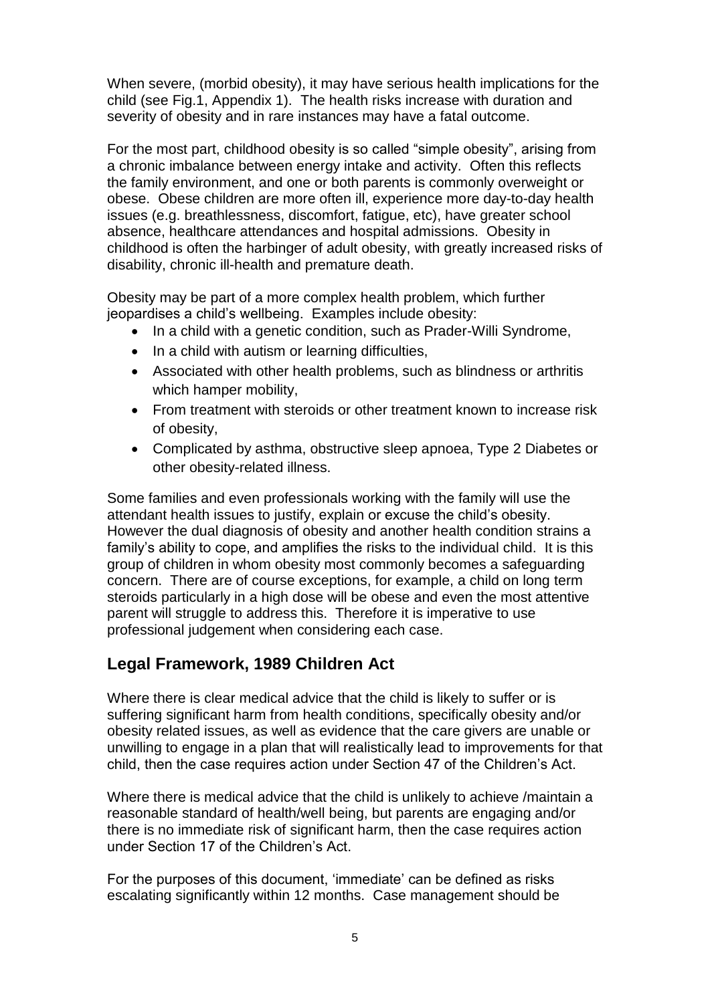When severe, (morbid obesity), it may have serious health implications for the child (see Fig.1, Appendix 1). The health risks increase with duration and severity of obesity and in rare instances may have a fatal outcome.

For the most part, childhood obesity is so called "simple obesity", arising from a chronic imbalance between energy intake and activity. Often this reflects the family environment, and one or both parents is commonly overweight or obese. Obese children are more often ill, experience more day-to-day health issues (e.g. breathlessness, discomfort, fatigue, etc), have greater school absence, healthcare attendances and hospital admissions. Obesity in childhood is often the harbinger of adult obesity, with greatly increased risks of disability, chronic ill-health and premature death.

Obesity may be part of a more complex health problem, which further jeopardises a child's wellbeing. Examples include obesity:

- In a child with a genetic condition, such as Prader-Willi Syndrome,
- In a child with autism or learning difficulties,
- Associated with other health problems, such as blindness or arthritis which hamper mobility,
- From treatment with steroids or other treatment known to increase risk of obesity,
- Complicated by asthma, obstructive sleep apnoea, Type 2 Diabetes or other obesity-related illness.

Some families and even professionals working with the family will use the attendant health issues to justify, explain or excuse the child's obesity. However the dual diagnosis of obesity and another health condition strains a family's ability to cope, and amplifies the risks to the individual child. It is this group of children in whom obesity most commonly becomes a safeguarding concern. There are of course exceptions, for example, a child on long term steroids particularly in a high dose will be obese and even the most attentive parent will struggle to address this. Therefore it is imperative to use professional judgement when considering each case.

## **Legal Framework, 1989 Children Act**

Where there is clear medical advice that the child is likely to suffer or is suffering significant harm from health conditions, specifically obesity and/or obesity related issues, as well as evidence that the care givers are unable or unwilling to engage in a plan that will realistically lead to improvements for that child, then the case requires action under Section 47 of the Children's Act.

Where there is medical advice that the child is unlikely to achieve /maintain a reasonable standard of health/well being, but parents are engaging and/or there is no immediate risk of significant harm, then the case requires action under Section 17 of the Children's Act.

For the purposes of this document, 'immediate' can be defined as risks escalating significantly within 12 months. Case management should be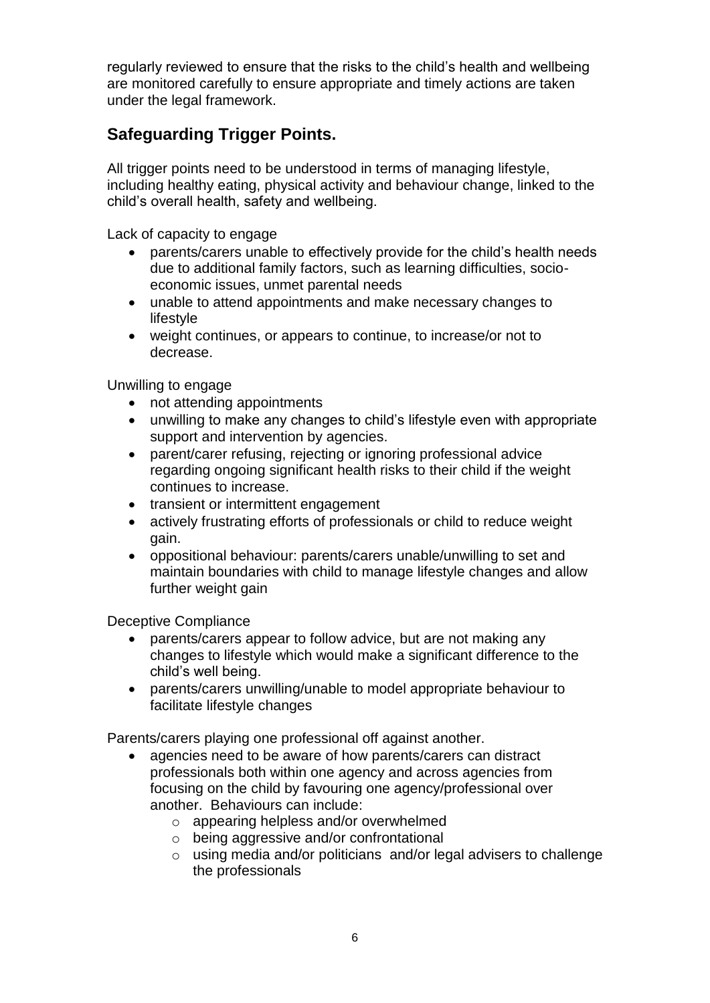regularly reviewed to ensure that the risks to the child's health and wellbeing are monitored carefully to ensure appropriate and timely actions are taken under the legal framework.

## **Safeguarding Trigger Points.**

All trigger points need to be understood in terms of managing lifestyle, including healthy eating, physical activity and behaviour change, linked to the child's overall health, safety and wellbeing.

Lack of capacity to engage

- parents/carers unable to effectively provide for the child's health needs due to additional family factors, such as learning difficulties, socioeconomic issues, unmet parental needs
- unable to attend appointments and make necessary changes to lifestyle
- weight continues, or appears to continue, to increase/or not to decrease.

Unwilling to engage

- not attending appointments
- unwilling to make any changes to child's lifestyle even with appropriate support and intervention by agencies.
- parent/carer refusing, rejecting or ignoring professional advice regarding ongoing significant health risks to their child if the weight continues to increase.
- transient or intermittent engagement
- actively frustrating efforts of professionals or child to reduce weight gain.
- oppositional behaviour: parents/carers unable/unwilling to set and maintain boundaries with child to manage lifestyle changes and allow further weight gain

Deceptive Compliance

- parents/carers appear to follow advice, but are not making any changes to lifestyle which would make a significant difference to the child's well being.
- parents/carers unwilling/unable to model appropriate behaviour to facilitate lifestyle changes

Parents/carers playing one professional off against another.

- agencies need to be aware of how parents/carers can distract professionals both within one agency and across agencies from focusing on the child by favouring one agency/professional over another. Behaviours can include:
	- o appearing helpless and/or overwhelmed
	- o being aggressive and/or confrontational
	- o using media and/or politicians and/or legal advisers to challenge the professionals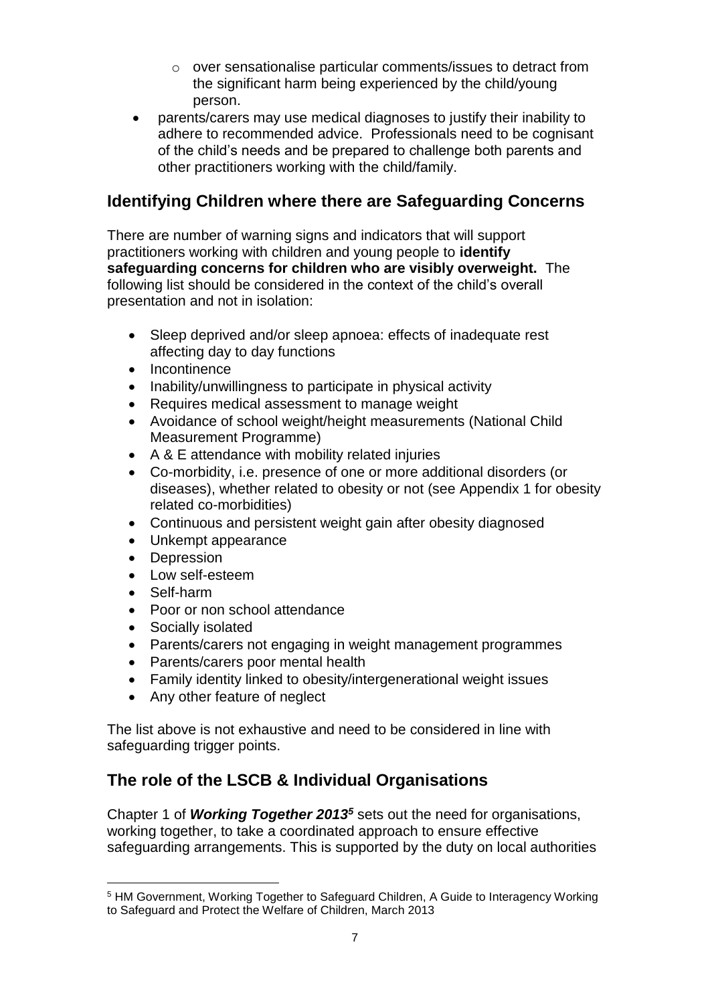- o over sensationalise particular comments/issues to detract from the significant harm being experienced by the child/young person.
- parents/carers may use medical diagnoses to justify their inability to adhere to recommended advice. Professionals need to be cognisant of the child's needs and be prepared to challenge both parents and other practitioners working with the child/family.

# **Identifying Children where there are Safeguarding Concerns**

There are number of warning signs and indicators that will support practitioners working with children and young people to **identify safeguarding concerns for children who are visibly overweight.** The following list should be considered in the context of the child's overall presentation and not in isolation:

- Sleep deprived and/or sleep apnoea: effects of inadequate rest affecting day to day functions
- Incontinence
- Inability/unwillingness to participate in physical activity
- Requires medical assessment to manage weight
- Avoidance of school weight/height measurements (National Child Measurement Programme)
- A & E attendance with mobility related injuries
- Co-morbidity, i.e. presence of one or more additional disorders (or diseases), whether related to obesity or not (see Appendix 1 for obesity related co-morbidities)
- Continuous and persistent weight gain after obesity diagnosed
- Unkempt appearance
- Depression
- Low self-esteem
- Self-harm

l

- Poor or non school attendance
- Socially isolated
- Parents/carers not engaging in weight management programmes
- Parents/carers poor mental health
- Family identity linked to obesity/intergenerational weight issues
- Any other feature of neglect

The list above is not exhaustive and need to be considered in line with safeguarding trigger points.

# **The role of the LSCB & Individual Organisations**

Chapter 1 of *Working Together 2013<sup>5</sup>* sets out the need for organisations, working together, to take a coordinated approach to ensure effective safeguarding arrangements. This is supported by the duty on local authorities

<sup>5</sup> HM Government, Working Together to Safeguard Children, A Guide to Interagency Working to Safeguard and Protect the Welfare of Children, March 2013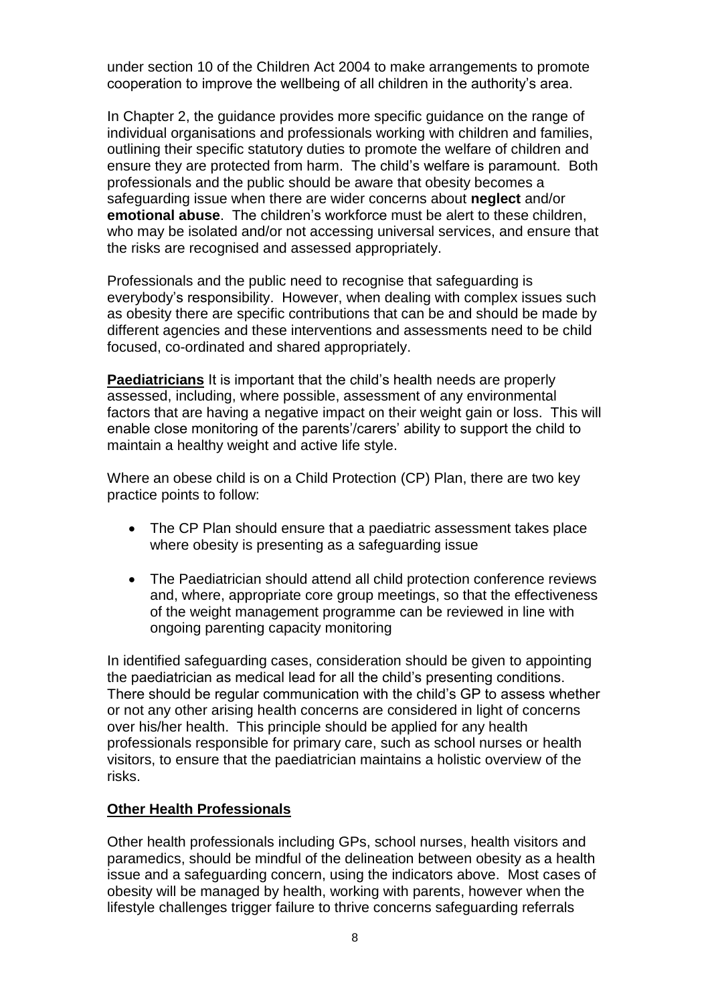under section 10 of the Children Act 2004 to make arrangements to promote cooperation to improve the wellbeing of all children in the authority's area.

In Chapter 2, the guidance provides more specific guidance on the range of individual organisations and professionals working with children and families, outlining their specific statutory duties to promote the welfare of children and ensure they are protected from harm. The child's welfare is paramount. Both professionals and the public should be aware that obesity becomes a safeguarding issue when there are wider concerns about **neglect** and/or **emotional abuse**. The children's workforce must be alert to these children, who may be isolated and/or not accessing universal services, and ensure that the risks are recognised and assessed appropriately.

Professionals and the public need to recognise that safeguarding is everybody's responsibility. However, when dealing with complex issues such as obesity there are specific contributions that can be and should be made by different agencies and these interventions and assessments need to be child focused, co-ordinated and shared appropriately.

**Paediatricians** It is important that the child's health needs are properly assessed, including, where possible, assessment of any environmental factors that are having a negative impact on their weight gain or loss. This will enable close monitoring of the parents'/carers' ability to support the child to maintain a healthy weight and active life style.

Where an obese child is on a Child Protection (CP) Plan, there are two key practice points to follow:

- The CP Plan should ensure that a paediatric assessment takes place where obesity is presenting as a safeguarding issue
- The Paediatrician should attend all child protection conference reviews and, where, appropriate core group meetings, so that the effectiveness of the weight management programme can be reviewed in line with ongoing parenting capacity monitoring

In identified safeguarding cases, consideration should be given to appointing the paediatrician as medical lead for all the child's presenting conditions. There should be regular communication with the child's GP to assess whether or not any other arising health concerns are considered in light of concerns over his/her health. This principle should be applied for any health professionals responsible for primary care, such as school nurses or health visitors, to ensure that the paediatrician maintains a holistic overview of the risks.

#### **Other Health Professionals**

Other health professionals including GPs, school nurses, health visitors and paramedics, should be mindful of the delineation between obesity as a health issue and a safeguarding concern, using the indicators above. Most cases of obesity will be managed by health, working with parents, however when the lifestyle challenges trigger failure to thrive concerns safeguarding referrals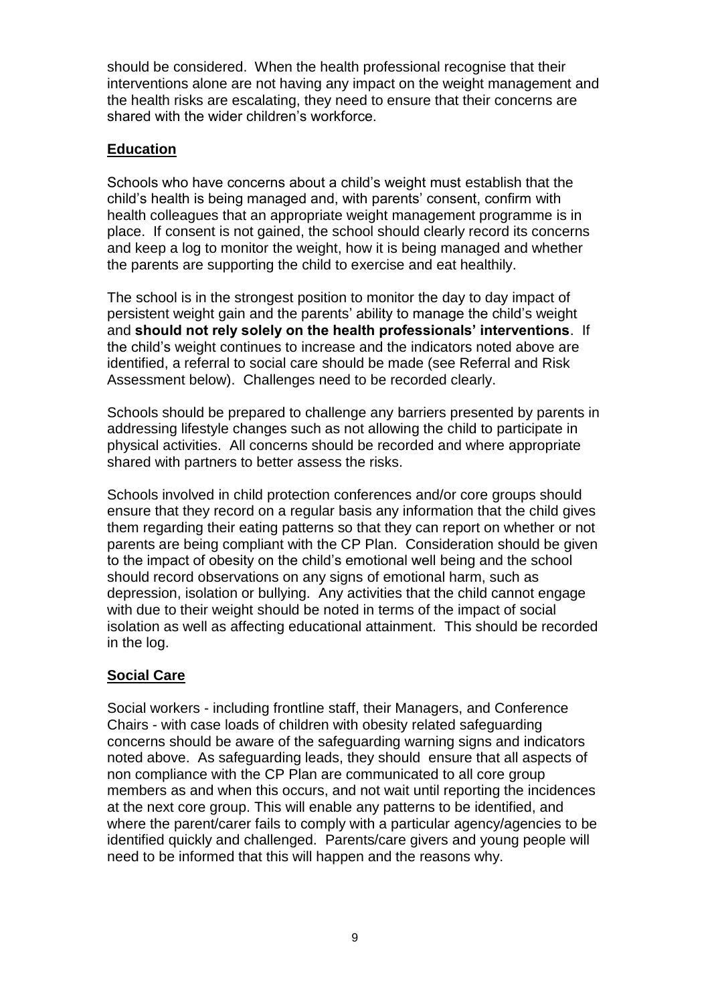should be considered. When the health professional recognise that their interventions alone are not having any impact on the weight management and the health risks are escalating, they need to ensure that their concerns are shared with the wider children's workforce.

#### **Education**

Schools who have concerns about a child's weight must establish that the child's health is being managed and, with parents' consent, confirm with health colleagues that an appropriate weight management programme is in place. If consent is not gained, the school should clearly record its concerns and keep a log to monitor the weight, how it is being managed and whether the parents are supporting the child to exercise and eat healthily.

The school is in the strongest position to monitor the day to day impact of persistent weight gain and the parents' ability to manage the child's weight and **should not rely solely on the health professionals' interventions**. If the child's weight continues to increase and the indicators noted above are identified, a referral to social care should be made (see Referral and Risk Assessment below). Challenges need to be recorded clearly.

Schools should be prepared to challenge any barriers presented by parents in addressing lifestyle changes such as not allowing the child to participate in physical activities. All concerns should be recorded and where appropriate shared with partners to better assess the risks.

Schools involved in child protection conferences and/or core groups should ensure that they record on a regular basis any information that the child gives them regarding their eating patterns so that they can report on whether or not parents are being compliant with the CP Plan. Consideration should be given to the impact of obesity on the child's emotional well being and the school should record observations on any signs of emotional harm, such as depression, isolation or bullying. Any activities that the child cannot engage with due to their weight should be noted in terms of the impact of social isolation as well as affecting educational attainment. This should be recorded in the log.

#### **Social Care**

Social workers - including frontline staff, their Managers, and Conference Chairs - with case loads of children with obesity related safeguarding concerns should be aware of the safeguarding warning signs and indicators noted above. As safeguarding leads, they should ensure that all aspects of non compliance with the CP Plan are communicated to all core group members as and when this occurs, and not wait until reporting the incidences at the next core group. This will enable any patterns to be identified, and where the parent/carer fails to comply with a particular agency/agencies to be identified quickly and challenged. Parents/care givers and young people will need to be informed that this will happen and the reasons why.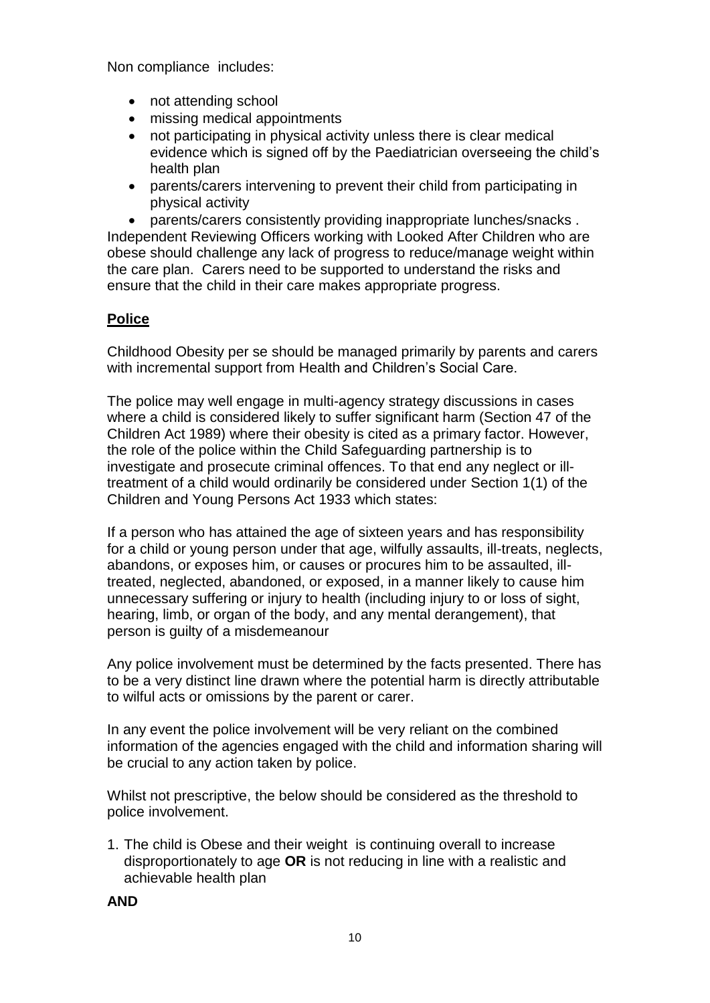Non compliance includes:

- not attending school
- missing medical appointments
- not participating in physical activity unless there is clear medical evidence which is signed off by the Paediatrician overseeing the child's health plan
- parents/carers intervening to prevent their child from participating in physical activity

 parents/carers consistently providing inappropriate lunches/snacks . Independent Reviewing Officers working with Looked After Children who are obese should challenge any lack of progress to reduce/manage weight within the care plan. Carers need to be supported to understand the risks and ensure that the child in their care makes appropriate progress.

#### **Police**

Childhood Obesity per se should be managed primarily by parents and carers with incremental support from Health and Children's Social Care.

The police may well engage in multi-agency strategy discussions in cases where a child is considered likely to suffer significant harm (Section 47 of the Children Act 1989) where their obesity is cited as a primary factor. However, the role of the police within the Child Safeguarding partnership is to investigate and prosecute criminal offences. To that end any neglect or illtreatment of a child would ordinarily be considered under Section 1(1) of the Children and Young Persons Act 1933 which states:

If a person who has attained the age of sixteen years and has responsibility for a child or young person under that age, wilfully assaults, ill-treats, neglects, abandons, or exposes him, or causes or procures him to be assaulted, illtreated, neglected, abandoned, or exposed, in a manner likely to cause him unnecessary suffering or injury to health (including injury to or loss of sight, hearing, limb, or organ of the body, and any mental derangement), that person is guilty of a misdemeanour

Any police involvement must be determined by the facts presented. There has to be a very distinct line drawn where the potential harm is directly attributable to wilful acts or omissions by the parent or carer.

In any event the police involvement will be very reliant on the combined information of the agencies engaged with the child and information sharing will be crucial to any action taken by police.

Whilst not prescriptive, the below should be considered as the threshold to police involvement.

1. The child is Obese and their weight is continuing overall to increase disproportionately to age **OR** is not reducing in line with a realistic and achievable health plan

**AND**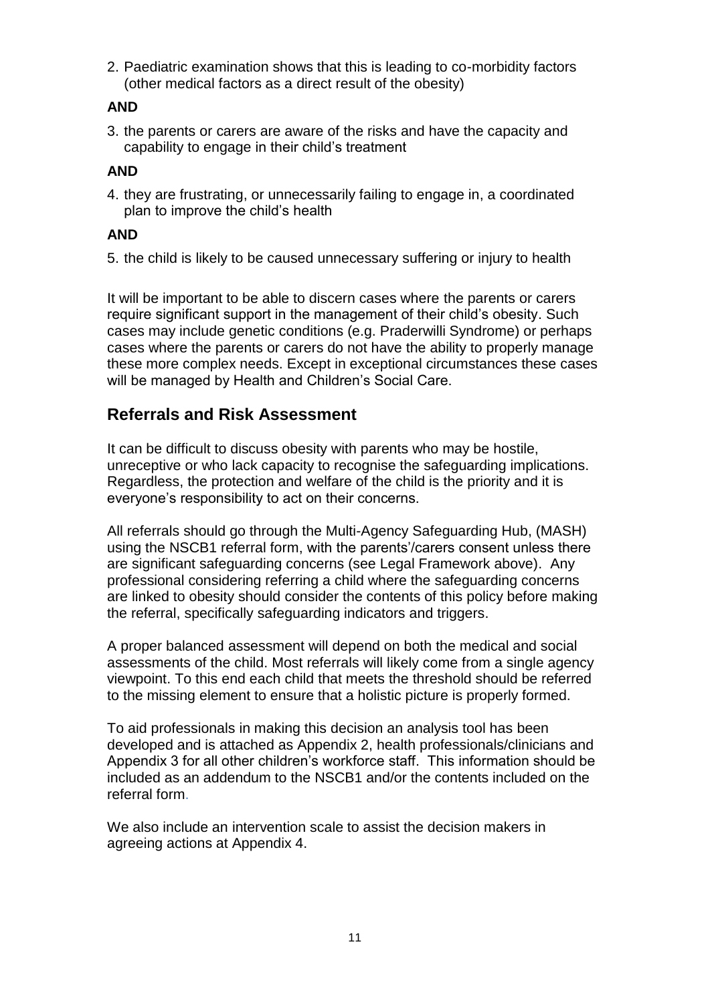2. Paediatric examination shows that this is leading to co-morbidity factors (other medical factors as a direct result of the obesity)

### **AND**

3. the parents or carers are aware of the risks and have the capacity and capability to engage in their child's treatment

#### **AND**

4. they are frustrating, or unnecessarily failing to engage in, a coordinated plan to improve the child's health

#### **AND**

5. the child is likely to be caused unnecessary suffering or injury to health

It will be important to be able to discern cases where the parents or carers require significant support in the management of their child's obesity. Such cases may include genetic conditions (e.g. Praderwilli Syndrome) or perhaps cases where the parents or carers do not have the ability to properly manage these more complex needs. Except in exceptional circumstances these cases will be managed by Health and Children's Social Care.

### **Referrals and Risk Assessment**

It can be difficult to discuss obesity with parents who may be hostile, unreceptive or who lack capacity to recognise the safeguarding implications. Regardless, the protection and welfare of the child is the priority and it is everyone's responsibility to act on their concerns.

All referrals should go through the Multi-Agency Safeguarding Hub, (MASH) using the NSCB1 referral form, with the parents'/carers consent unless there are significant safeguarding concerns (see Legal Framework above). Any professional considering referring a child where the safeguarding concerns are linked to obesity should consider the contents of this policy before making the referral, specifically safeguarding indicators and triggers.

A proper balanced assessment will depend on both the medical and social assessments of the child. Most referrals will likely come from a single agency viewpoint. To this end each child that meets the threshold should be referred to the missing element to ensure that a holistic picture is properly formed.

To aid professionals in making this decision an analysis tool has been developed and is attached as Appendix 2, health professionals/clinicians and Appendix 3 for all other children's workforce staff. This information should be included as an addendum to the NSCB1 and/or the contents included on the referral form.

We also include an intervention scale to assist the decision makers in agreeing actions at Appendix 4.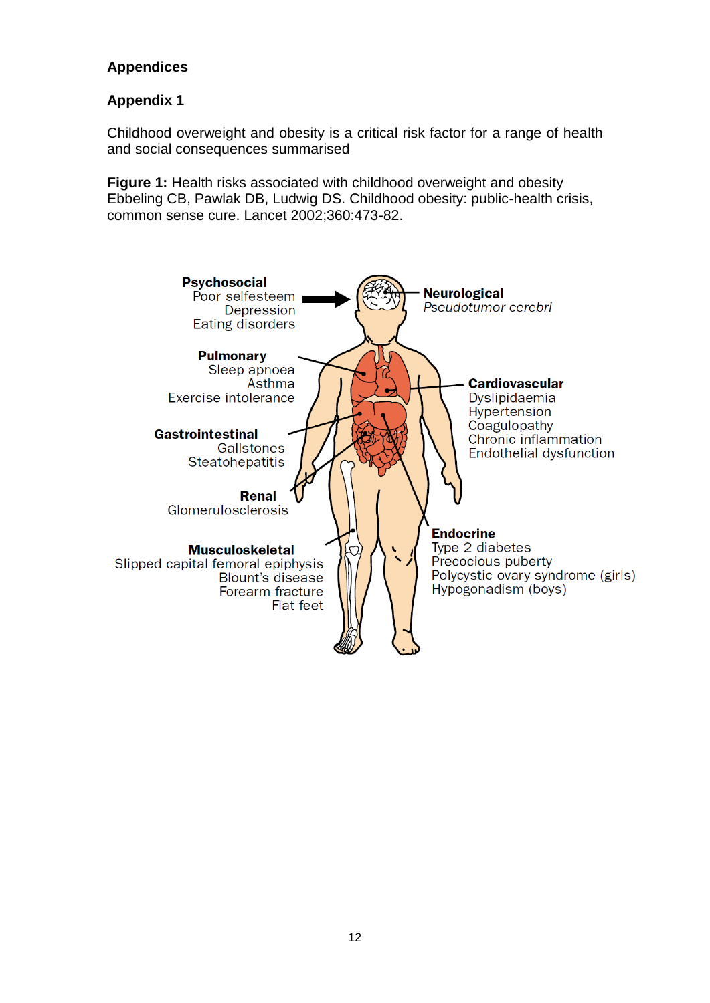### **Appendices**

### **Appendix 1**

Childhood overweight and obesity is a critical risk factor for a range of health and social consequences summarised

**Figure 1:** Health risks associated with childhood overweight and obesity Ebbeling CB, Pawlak DB, Ludwig DS. Childhood obesity: public-health crisis, common sense cure. Lancet 2002;360:473-82.

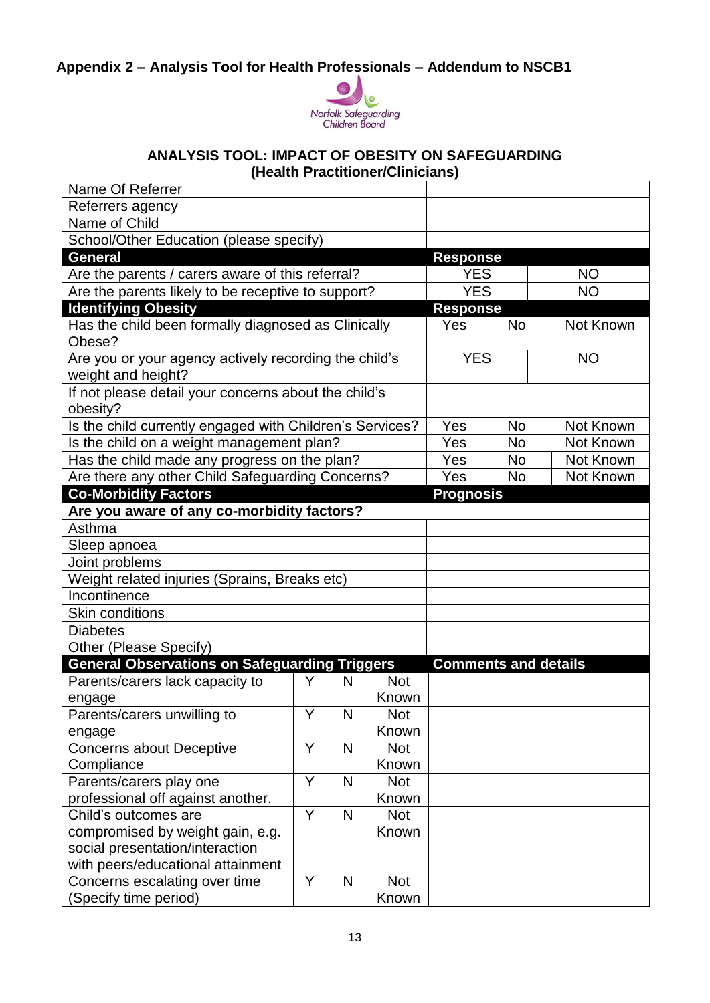# **Appendix 2 – Analysis Tool for Health Professionals – Addendum to NSCB1**



#### **ANALYSIS TOOL: IMPACT OF OBESITY ON SAFEGUARDING (Health Practitioner/Clinicians)**

| Name Of Referrer                                                            |   |            |            |                  |                             |           |  |
|-----------------------------------------------------------------------------|---|------------|------------|------------------|-----------------------------|-----------|--|
| Referrers agency                                                            |   |            |            |                  |                             |           |  |
| Name of Child                                                               |   |            |            |                  |                             |           |  |
| School/Other Education (please specify)                                     |   |            |            |                  |                             |           |  |
| <b>General</b>                                                              |   |            |            | <b>Response</b>  |                             |           |  |
| Are the parents / carers aware of this referral?                            |   |            |            | <b>YES</b>       |                             | <b>NO</b> |  |
| Are the parents likely to be receptive to support?                          |   |            |            | <b>YES</b>       |                             | <b>NO</b> |  |
| <b>Identifying Obesity</b>                                                  |   |            |            | <b>Response</b>  |                             |           |  |
| Has the child been formally diagnosed as Clinically<br>Obese?               |   |            | <b>Yes</b> | <b>No</b>        | Not Known                   |           |  |
| Are you or your agency actively recording the child's<br>weight and height? |   |            |            | <b>YES</b>       |                             | <b>NO</b> |  |
| If not please detail your concerns about the child's<br>obesity?            |   |            |            |                  |                             |           |  |
| Is the child currently engaged with Children's Services?                    |   | Yes<br>Yes | <b>No</b>  | Not Known        |                             |           |  |
| Is the child on a weight management plan?                                   |   |            |            |                  | <b>No</b>                   | Not Known |  |
| Has the child made any progress on the plan?                                |   |            |            |                  | <b>No</b>                   | Not Known |  |
| Are there any other Child Safeguarding Concerns?                            |   |            |            |                  | <b>No</b>                   | Not Known |  |
| <b>Co-Morbidity Factors</b>                                                 |   |            |            | <b>Prognosis</b> |                             |           |  |
| Are you aware of any co-morbidity factors?                                  |   |            |            |                  |                             |           |  |
| Asthma                                                                      |   |            |            |                  |                             |           |  |
| Sleep apnoea                                                                |   |            |            |                  |                             |           |  |
| Joint problems                                                              |   |            |            |                  |                             |           |  |
| Weight related injuries (Sprains, Breaks etc)                               |   |            |            |                  |                             |           |  |
| Incontinence                                                                |   |            |            |                  |                             |           |  |
| <b>Skin conditions</b>                                                      |   |            |            |                  |                             |           |  |
| <b>Diabetes</b>                                                             |   |            |            |                  |                             |           |  |
| Other (Please Specify)                                                      |   |            |            |                  |                             |           |  |
| <b>General Observations on Safeguarding Triggers</b>                        |   |            |            |                  | <b>Comments and details</b> |           |  |
| Parents/carers lack capacity to                                             | Y | N          | <b>Not</b> |                  |                             |           |  |
| engage                                                                      |   |            | Known      |                  |                             |           |  |
| Parents/carers unwilling to                                                 | Y | N          | <b>Not</b> |                  |                             |           |  |
| engage                                                                      |   |            | Known      |                  |                             |           |  |
| <b>Concerns about Deceptive</b>                                             | Y | N          | <b>Not</b> |                  |                             |           |  |
| Compliance                                                                  |   |            | Known      |                  |                             |           |  |
| Parents/carers play one                                                     | Y | N          | <b>Not</b> |                  |                             |           |  |
| professional off against another.                                           |   |            | Known      |                  |                             |           |  |
| Child's outcomes are                                                        | Y | N          | <b>Not</b> |                  |                             |           |  |
| compromised by weight gain, e.g.                                            |   |            | Known      |                  |                             |           |  |
| social presentation/interaction                                             |   |            |            |                  |                             |           |  |
| with peers/educational attainment                                           |   |            |            |                  |                             |           |  |
| Concerns escalating over time                                               | Y | N          | <b>Not</b> |                  |                             |           |  |
| (Specify time period)                                                       |   |            | Known      |                  |                             |           |  |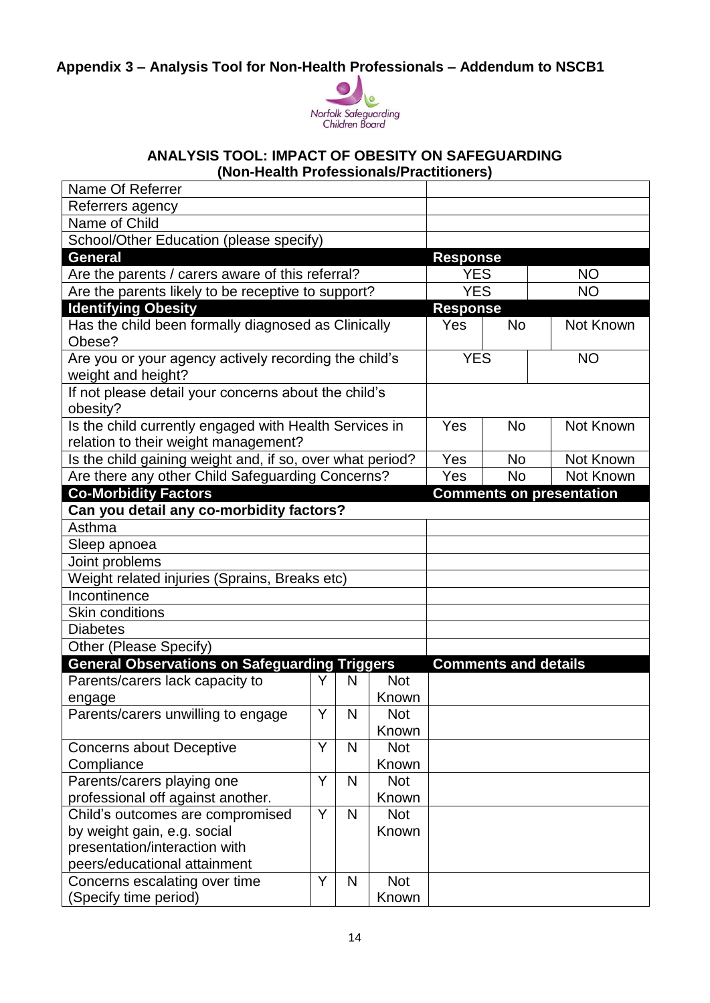**Appendix 3 – Analysis Tool for Non-Health Professionals – Addendum to NSCB1**



#### **ANALYSIS TOOL: IMPACT OF OBESITY ON SAFEGUARDING (Non-Health Professionals/Practitioners)**

| Name Of Referrer                                                               |     |              |                     |                         |                             |                                 |  |
|--------------------------------------------------------------------------------|-----|--------------|---------------------|-------------------------|-----------------------------|---------------------------------|--|
| Referrers agency                                                               |     |              |                     |                         |                             |                                 |  |
| Name of Child                                                                  |     |              |                     |                         |                             |                                 |  |
| School/Other Education (please specify)                                        |     |              |                     |                         |                             |                                 |  |
| <b>General</b>                                                                 |     |              |                     | <b>Response</b>         |                             |                                 |  |
| Are the parents / carers aware of this referral?                               |     |              |                     | <b>YES</b><br><b>NO</b> |                             |                                 |  |
| Are the parents likely to be receptive to support?                             |     |              |                     |                         | <b>YES</b>                  | <b>NO</b>                       |  |
| <b>Identifying Obesity</b>                                                     |     |              |                     |                         | <b>Response</b>             |                                 |  |
| Has the child been formally diagnosed as Clinically                            |     |              |                     | <b>Yes</b>              | <b>No</b>                   | Not Known                       |  |
| Obese?                                                                         |     |              |                     |                         |                             |                                 |  |
| Are you or your agency actively recording the child's                          |     |              |                     | <b>YES</b>              |                             | <b>NO</b>                       |  |
| weight and height?                                                             |     |              |                     |                         |                             |                                 |  |
| If not please detail your concerns about the child's                           |     |              |                     |                         |                             |                                 |  |
| obesity?                                                                       |     |              |                     |                         |                             |                                 |  |
| Is the child currently engaged with Health Services in                         |     | Yes          | <b>No</b>           | Not Known               |                             |                                 |  |
| relation to their weight management?                                           | Yes |              |                     |                         |                             |                                 |  |
| Is the child gaining weight and, if so, over what period?                      |     |              |                     |                         | <b>No</b>                   | Not Known                       |  |
| Are there any other Child Safeguarding Concerns?                               |     | Yes          | <b>No</b>           | Not Known               |                             |                                 |  |
| <b>Co-Morbidity Factors</b>                                                    |     |              |                     |                         |                             | <b>Comments on presentation</b> |  |
| Can you detail any co-morbidity factors?                                       |     |              |                     |                         |                             |                                 |  |
| Asthma                                                                         |     |              |                     |                         |                             |                                 |  |
| Sleep apnoea                                                                   |     |              |                     |                         |                             |                                 |  |
| Joint problems                                                                 |     |              |                     |                         |                             |                                 |  |
| Weight related injuries (Sprains, Breaks etc)                                  |     |              |                     |                         |                             |                                 |  |
| Incontinence                                                                   |     |              |                     |                         |                             |                                 |  |
| <b>Skin conditions</b>                                                         |     |              |                     |                         |                             |                                 |  |
| <b>Diabetes</b>                                                                |     |              |                     |                         |                             |                                 |  |
| Other (Please Specify)<br><b>General Observations on Safeguarding Triggers</b> |     |              |                     |                         |                             |                                 |  |
|                                                                                | Y   |              |                     |                         | <b>Comments and details</b> |                                 |  |
| Parents/carers lack capacity to                                                |     | N            | <b>Not</b><br>Known |                         |                             |                                 |  |
| engage<br>Parents/carers unwilling to engage                                   | Y   | $\mathsf{N}$ | <b>Not</b>          |                         |                             |                                 |  |
|                                                                                |     |              | Known               |                         |                             |                                 |  |
| Concerns about Deceptive                                                       | Y   | N            | <b>Not</b>          |                         |                             |                                 |  |
| Compliance                                                                     |     |              | Known               |                         |                             |                                 |  |
| Parents/carers playing one                                                     | Y   | N            | <b>Not</b>          |                         |                             |                                 |  |
| professional off against another.                                              |     |              | Known               |                         |                             |                                 |  |
| Child's outcomes are compromised                                               | Y   | N            | <b>Not</b>          |                         |                             |                                 |  |
| by weight gain, e.g. social                                                    |     |              | Known               |                         |                             |                                 |  |
| presentation/interaction with                                                  |     |              |                     |                         |                             |                                 |  |
| peers/educational attainment                                                   |     |              |                     |                         |                             |                                 |  |
| Concerns escalating over time                                                  | Y   | $\mathsf{N}$ | <b>Not</b>          |                         |                             |                                 |  |
| (Specify time period)                                                          |     |              | Known               |                         |                             |                                 |  |